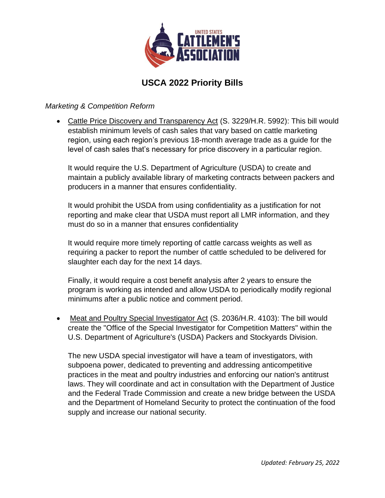

# **USCA 2022 Priority Bills**

#### *Marketing & Competition Reform*

• Cattle Price Discovery and Transparency Act (S. 3229/H.R. 5992): This bill would establish minimum levels of cash sales that vary based on cattle marketing region, using each region's previous 18-month average trade as a guide for the level of cash sales that's necessary for price discovery in a particular region.

It would require the U.S. Department of Agriculture (USDA) to create and maintain a publicly available library of marketing contracts between packers and producers in a manner that ensures confidentiality.

It would prohibit the USDA from using confidentiality as a justification for not reporting and make clear that USDA must report all LMR information, and they must do so in a manner that ensures confidentiality

It would require more timely reporting of cattle carcass weights as well as requiring a packer to report the number of cattle scheduled to be delivered for slaughter each day for the next 14 days.

Finally, it would require a cost benefit analysis after 2 years to ensure the program is working as intended and allow USDA to periodically modify regional minimums after a public notice and comment period.

• Meat and Poultry Special Investigator Act (S. 2036/H.R. 4103): The bill would create the "Office of the Special Investigator for Competition Matters" within the U.S. Department of Agriculture's (USDA) Packers and Stockyards Division.

The new USDA special investigator will have a team of investigators, with subpoena power, dedicated to preventing and addressing anticompetitive practices in the meat and poultry industries and enforcing our nation's antitrust laws. They will coordinate and act in consultation with the Department of Justice and the Federal Trade Commission and create a new bridge between the USDA and the Department of Homeland Security to protect the continuation of the food supply and increase our national security.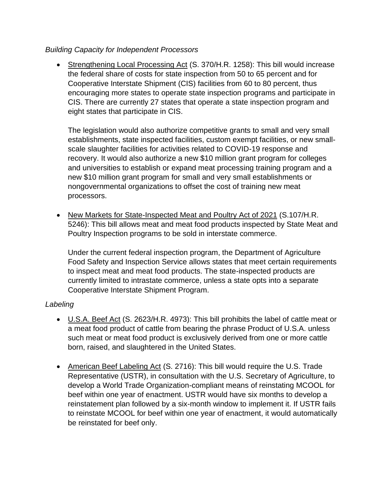## *Building Capacity for Independent Processors*

• Strengthening Local Processing Act (S. 370/H.R. 1258): This bill would increase the federal share of costs for state inspection from 50 to 65 percent and for Cooperative Interstate Shipment (CIS) facilities from 60 to 80 percent, thus encouraging more states to operate state inspection programs and participate in CIS. There are currently 27 states that operate a state inspection program and eight states that participate in CIS.

The legislation would also authorize competitive grants to small and very small establishments, state inspected facilities, custom exempt facilities, or new smallscale slaughter facilities for activities related to COVID-19 response and recovery. It would also authorize a new \$10 million grant program for colleges and universities to establish or expand meat processing training program and a new \$10 million grant program for small and very small establishments or nongovernmental organizations to offset the cost of training new meat processors.

• New Markets for State-Inspected Meat and Poultry Act of 2021 (S.107/H.R. 5246): This bill allows meat and meat food products inspected by State Meat and Poultry Inspection programs to be sold in interstate commerce.

Under the current federal inspection program, the Department of Agriculture Food Safety and Inspection Service allows states that meet certain requirements to inspect meat and meat food products. The state-inspected products are currently limited to intrastate commerce, unless a state opts into a separate Cooperative Interstate Shipment Program.

# *Labeling*

- U.S.A. Beef Act (S. 2623/H.R. 4973): This bill prohibits the label of cattle meat or a meat food product of cattle from bearing the phrase Product of U.S.A. unless such meat or meat food product is exclusively derived from one or more cattle born, raised, and slaughtered in the United States.
- American Beef Labeling Act (S. 2716): This bill would require the U.S. Trade Representative (USTR), in consultation with the U.S. Secretary of Agriculture, to develop a World Trade Organization-compliant means of reinstating MCOOL for beef within one year of enactment. USTR would have six months to develop a reinstatement plan followed by a six-month window to implement it. If USTR fails to reinstate MCOOL for beef within one year of enactment, it would automatically be reinstated for beef only.